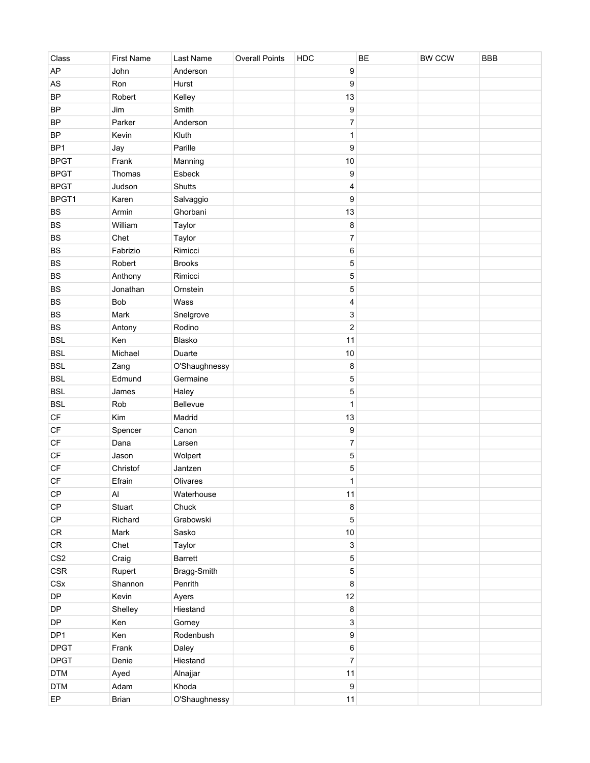| Class                  | <b>First Name</b>            | Last Name           | <b>Overall Points</b> | HDC                     | BE | BW CCW | <b>BBB</b> |
|------------------------|------------------------------|---------------------|-----------------------|-------------------------|----|--------|------------|
| AP                     | John                         | Anderson            |                       | $\boldsymbol{9}$        |    |        |            |
| $\mathsf{AS}$          | Ron                          | Hurst               |                       | 9                       |    |        |            |
| <b>BP</b>              | Robert                       | Kelley              |                       | 13                      |    |        |            |
| <b>BP</b>              | Jim                          | Smith               |                       | 9                       |    |        |            |
| <b>BP</b>              | Parker                       | Anderson            |                       | $\boldsymbol{7}$        |    |        |            |
| <b>BP</b>              | Kevin                        | Kluth               |                       | 1                       |    |        |            |
| BP <sub>1</sub>        | Jay                          | Parille             |                       | 9                       |    |        |            |
| <b>BPGT</b>            | Frank                        | Manning             |                       | $10$                    |    |        |            |
| <b>BPGT</b>            | Thomas                       | Esbeck              |                       | $\boldsymbol{9}$        |    |        |            |
| <b>BPGT</b>            | Judson                       | Shutts              |                       | 4                       |    |        |            |
| BPGT1                  | Karen                        | Salvaggio           |                       | 9                       |    |        |            |
| BS                     | Armin                        | Ghorbani            |                       | 13                      |    |        |            |
| BS                     | William                      | Taylor              |                       | 8                       |    |        |            |
| BS                     | Chet                         | Taylor              |                       | $\overline{\mathbf{7}}$ |    |        |            |
| <b>BS</b>              | Fabrizio                     | Rimicci             |                       | $\,6\,$                 |    |        |            |
| <b>BS</b>              | Robert                       | <b>Brooks</b>       |                       | 5                       |    |        |            |
| <b>BS</b>              | Anthony                      | Rimicci             |                       | $\mathbf 5$             |    |        |            |
| BS                     | Jonathan                     | Ornstein            |                       | $\mathbf 5$             |    |        |            |
| <b>BS</b>              | <b>Bob</b>                   | Wass                |                       | 4                       |    |        |            |
| <b>BS</b>              | Mark                         | Snelgrove           |                       | 3                       |    |        |            |
| <b>BS</b>              | Antony                       | Rodino              |                       | $\mathbf 2$             |    |        |            |
| <b>BSL</b>             | Ken                          | Blasko              |                       | 11                      |    |        |            |
| <b>BSL</b>             | Michael                      | Duarte              |                       | 10                      |    |        |            |
| <b>BSL</b>             | Zang                         | O'Shaughnessy       |                       | 8                       |    |        |            |
| <b>BSL</b>             | Edmund                       | Germaine            |                       | 5                       |    |        |            |
| <b>BSL</b>             | James                        | Haley               |                       | 5                       |    |        |            |
| <b>BSL</b>             | Rob                          | Bellevue            |                       | 1                       |    |        |            |
| $\mathsf{C}\mathsf{F}$ | Kim                          | Madrid              |                       | 13                      |    |        |            |
| $\mathsf{C}\mathsf{F}$ | Spencer                      | Canon               |                       | 9                       |    |        |            |
| $\mathsf{C}\mathsf{F}$ | Dana                         | Larsen              |                       | $\boldsymbol{7}$        |    |        |            |
| $\mathsf{C}\mathsf{F}$ | Jason                        |                     |                       | $\mathbf 5$             |    |        |            |
| $\mathsf{C}\mathsf{F}$ | Christof                     | Wolpert<br>Jantzen  |                       |                         |    |        |            |
| <b>CF</b>              |                              | Olivares            |                       | 5<br>$\mathbf 1$        |    |        |            |
|                        | Efrain                       |                     |                       |                         |    |        |            |
| CP                     | $\mathsf{Al}\hspace{0.04cm}$ | Waterhouse<br>Chuck |                       | 11                      |    |        |            |
| $\mathsf{CP}$          | Stuart                       |                     |                       | $\bf 8$                 |    |        |            |
| $\mathsf{CP}$          | Richard                      | Grabowski           |                       | $\mathbf 5$             |    |        |            |
| ${\sf CR}$             | Mark                         | Sasko               |                       | $10$                    |    |        |            |
| ${\sf CR}$             | Chet                         | Taylor              |                       | 3                       |    |        |            |
| CS <sub>2</sub>        | Craig                        | <b>Barrett</b>      |                       | $\mathbf 5$             |    |        |            |
| CSR                    | Rupert                       | Bragg-Smith         |                       | $\mathbf 5$             |    |        |            |
| CSx                    | Shannon                      | Penrith             |                       | $\bf 8$                 |    |        |            |
| DP                     | Kevin                        | Ayers               |                       | 12                      |    |        |            |
| DP                     | Shelley                      | Hiestand            |                       | $\bf 8$                 |    |        |            |
| DP                     | Ken                          | Gorney              |                       | 3                       |    |        |            |
| DP1                    | Ken                          | Rodenbush           |                       | $\boldsymbol{9}$        |    |        |            |
| <b>DPGT</b>            | Frank                        | Daley               |                       | $\,6\,$                 |    |        |            |
| <b>DPGT</b>            | Denie                        | Hiestand            |                       | $\boldsymbol{7}$        |    |        |            |
| <b>DTM</b>             | Ayed                         | Alnajjar            |                       | 11                      |    |        |            |
| <b>DTM</b>             | Adam                         | Khoda               |                       | $\boldsymbol{9}$        |    |        |            |
| EP                     | Brian                        | O'Shaughnessy       |                       | 11                      |    |        |            |